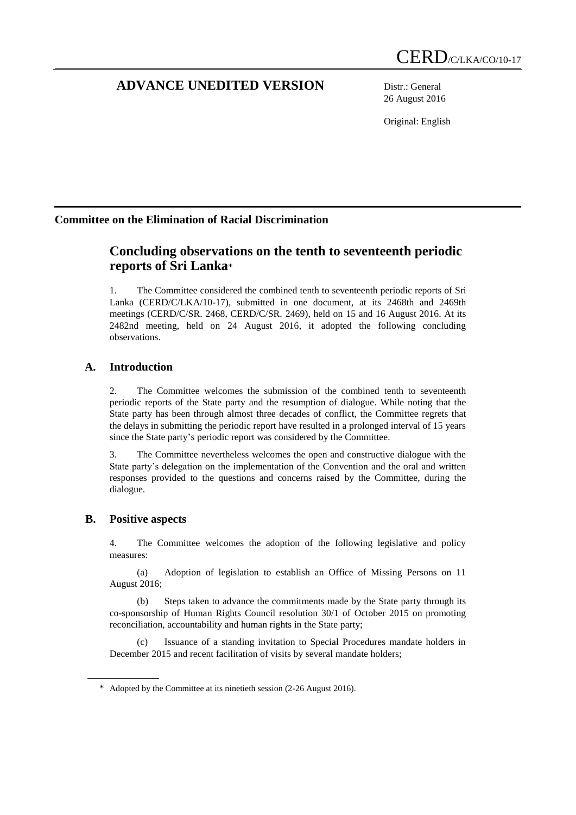# **ADVANCE UNEDITED VERSION** Distr.: General

26 August 2016

Original: English

# **Committee on the Elimination of Racial Discrimination**

# **Concluding observations on the tenth to seventeenth periodic reports of Sri Lanka**\*

1. The Committee considered the combined tenth to seventeenth periodic reports of Sri Lanka (CERD/C/LKA/10-17), submitted in one document, at its 2468th and 2469th meetings (CERD/C/SR. 2468, CERD/C/SR. 2469), held on 15 and 16 August 2016. At its 2482nd meeting, held on 24 August 2016, it adopted the following concluding observations.

## **A. Introduction**

2. The Committee welcomes the submission of the combined tenth to seventeenth periodic reports of the State party and the resumption of dialogue. While noting that the State party has been through almost three decades of conflict, the Committee regrets that the delays in submitting the periodic report have resulted in a prolonged interval of 15 years since the State party's periodic report was considered by the Committee.

3. The Committee nevertheless welcomes the open and constructive dialogue with the State party's delegation on the implementation of the Convention and the oral and written responses provided to the questions and concerns raised by the Committee, during the dialogue.

## **B. Positive aspects**

4. The Committee welcomes the adoption of the following legislative and policy measures:

(a) Adoption of legislation to establish an Office of Missing Persons on 11 August 2016;

(b) Steps taken to advance the commitments made by the State party through its co-sponsorship of Human Rights Council resolution 30/1 of October 2015 on promoting reconciliation, accountability and human rights in the State party;

(c) Issuance of a standing invitation to Special Procedures mandate holders in December 2015 and recent facilitation of visits by several mandate holders;

<sup>\*</sup> Adopted by the Committee at its ninetieth session (2-26 August 2016).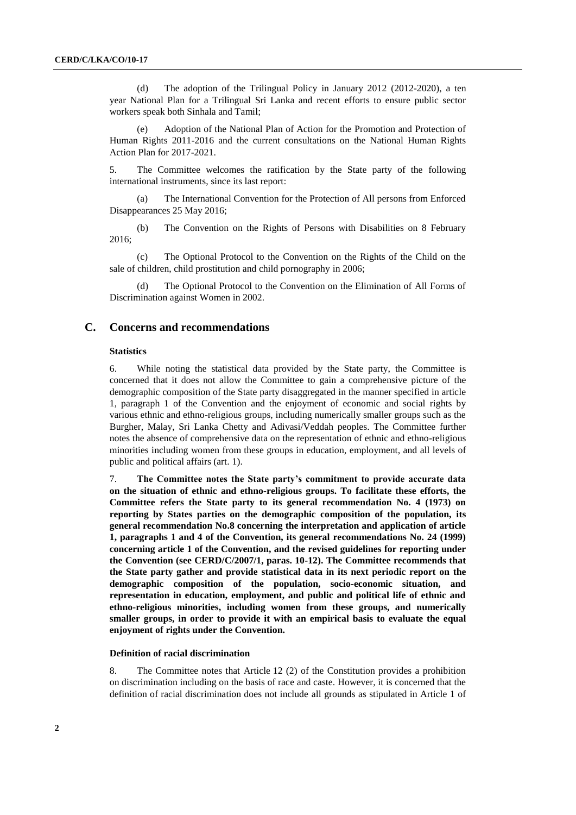(d) The adoption of the Trilingual Policy in January 2012 (2012-2020), a ten year National Plan for a Trilingual Sri Lanka and recent efforts to ensure public sector workers speak both Sinhala and Tamil;

Adoption of the National Plan of Action for the Promotion and Protection of Human Rights 2011-2016 and the current consultations on the National Human Rights Action Plan for 2017-2021.

5. The Committee welcomes the ratification by the State party of the following international instruments, since its last report:

(a) The International Convention for the Protection of All persons from Enforced Disappearances 25 May 2016;

(b) The Convention on the Rights of Persons with Disabilities on 8 February 2016;

(c) The Optional Protocol to the Convention on the Rights of the Child on the sale of children, child prostitution and child pornography in 2006;

(d) The Optional Protocol to the Convention on the Elimination of All Forms of Discrimination against Women in 2002.

## **C. Concerns and recommendations**

#### **Statistics**

6. While noting the statistical data provided by the State party, the Committee is concerned that it does not allow the Committee to gain a comprehensive picture of the demographic composition of the State party disaggregated in the manner specified in article 1, paragraph 1 of the Convention and the enjoyment of economic and social rights by various ethnic and ethno-religious groups, including numerically smaller groups such as the Burgher, Malay, Sri Lanka Chetty and Adivasi/Veddah peoples. The Committee further notes the absence of comprehensive data on the representation of ethnic and ethno-religious minorities including women from these groups in education, employment, and all levels of public and political affairs (art. 1).

7. **The Committee notes the State party's commitment to provide accurate data on the situation of ethnic and ethno-religious groups. To facilitate these efforts, the Committee refers the State party to its general recommendation No. 4 (1973) on reporting by States parties on the demographic composition of the population, its general recommendation No.8 concerning the interpretation and application of article 1, paragraphs 1 and 4 of the Convention, its general recommendations No. 24 (1999) concerning article 1 of the Convention, and the revised guidelines for reporting under the Convention (see CERD/C/2007/1, paras. 10-12). The Committee recommends that the State party gather and provide statistical data in its next periodic report on the demographic composition of the population, socio-economic situation, and representation in education, employment, and public and political life of ethnic and ethno-religious minorities, including women from these groups, and numerically smaller groups, in order to provide it with an empirical basis to evaluate the equal enjoyment of rights under the Convention.**

#### **Definition of racial discrimination**

8. The Committee notes that Article 12 (2) of the Constitution provides a prohibition on discrimination including on the basis of race and caste. However, it is concerned that the definition of racial discrimination does not include all grounds as stipulated in Article 1 of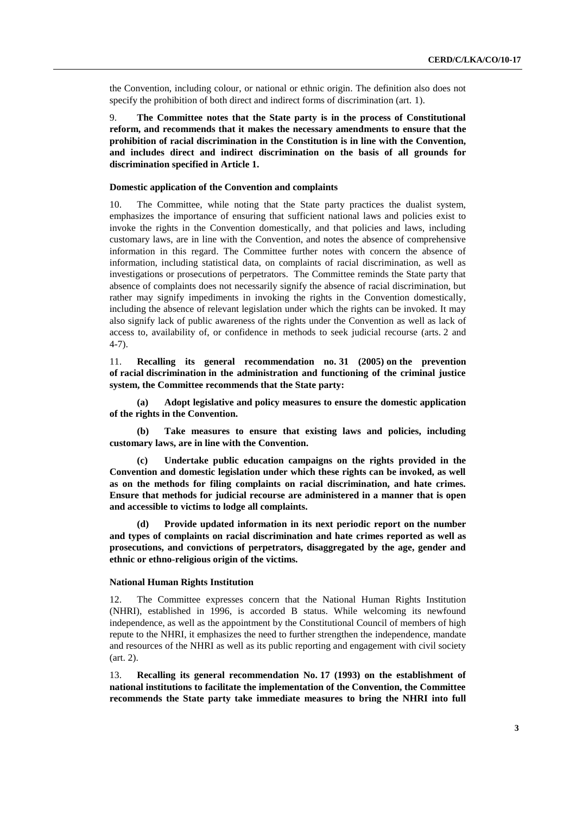the Convention, including colour, or national or ethnic origin. The definition also does not specify the prohibition of both direct and indirect forms of discrimination (art. 1).

9. **The Committee notes that the State party is in the process of Constitutional reform, and recommends that it makes the necessary amendments to ensure that the prohibition of racial discrimination in the Constitution is in line with the Convention, and includes direct and indirect discrimination on the basis of all grounds for discrimination specified in Article 1.**

#### **Domestic application of the Convention and complaints**

10. The Committee, while noting that the State party practices the dualist system, emphasizes the importance of ensuring that sufficient national laws and policies exist to invoke the rights in the Convention domestically, and that policies and laws, including customary laws, are in line with the Convention, and notes the absence of comprehensive information in this regard. The Committee further notes with concern the absence of information, including statistical data, on complaints of racial discrimination, as well as investigations or prosecutions of perpetrators. The Committee reminds the State party that absence of complaints does not necessarily signify the absence of racial discrimination, but rather may signify impediments in invoking the rights in the Convention domestically, including the absence of relevant legislation under which the rights can be invoked. It may also signify lack of public awareness of the rights under the Convention as well as lack of access to, availability of, or confidence in methods to seek judicial recourse (arts. 2 and 4-7).

11. **Recalling its general recommendation no. 31 (2005) on the prevention of racial discrimination in the administration and functioning of the criminal justice system, the Committee recommends that the State party:**

**(a) Adopt legislative and policy measures to ensure the domestic application of the rights in the Convention.** 

**(b) Take measures to ensure that existing laws and policies, including customary laws, are in line with the Convention.** 

**(c) Undertake public education campaigns on the rights provided in the Convention and domestic legislation under which these rights can be invoked, as well as on the methods for filing complaints on racial discrimination, and hate crimes. Ensure that methods for judicial recourse are administered in a manner that is open and accessible to victims to lodge all complaints.**

**(d) Provide updated information in its next periodic report on the number and types of complaints on racial discrimination and hate crimes reported as well as prosecutions, and convictions of perpetrators, disaggregated by the age, gender and ethnic or ethno-religious origin of the victims.**

#### **National Human Rights Institution**

12. The Committee expresses concern that the National Human Rights Institution (NHRI), established in 1996, is accorded B status. While welcoming its newfound independence, as well as the appointment by the Constitutional Council of members of high repute to the NHRI, it emphasizes the need to further strengthen the independence, mandate and resources of the NHRI as well as its public reporting and engagement with civil society (art. 2).

13. **Recalling its general recommendation No. 17 (1993) on the establishment of national institutions to facilitate the implementation of the Convention, the Committee recommends the State party take immediate measures to bring the NHRI into full**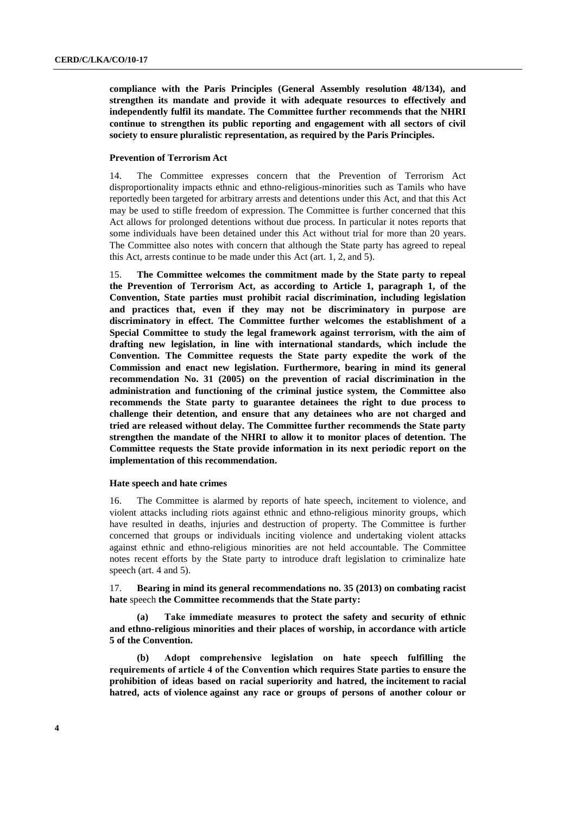**compliance with the Paris Principles (General Assembly resolution 48/134), and strengthen its mandate and provide it with adequate resources to effectively and independently fulfil its mandate. The Committee further recommends that the NHRI continue to strengthen its public reporting and engagement with all sectors of civil society to ensure pluralistic representation, as required by the Paris Principles.** 

### **Prevention of Terrorism Act**

14. The Committee expresses concern that the Prevention of Terrorism Act disproportionality impacts ethnic and ethno-religious-minorities such as Tamils who have reportedly been targeted for arbitrary arrests and detentions under this Act, and that this Act may be used to stifle freedom of expression. The Committee is further concerned that this Act allows for prolonged detentions without due process. In particular it notes reports that some individuals have been detained under this Act without trial for more than 20 years. The Committee also notes with concern that although the State party has agreed to repeal this Act, arrests continue to be made under this Act (art. 1, 2, and 5).

15. **The Committee welcomes the commitment made by the State party to repeal the Prevention of Terrorism Act, as according to Article 1, paragraph 1, of the Convention, State parties must prohibit racial discrimination, including legislation and practices that, even if they may not be discriminatory in purpose are discriminatory in effect. The Committee further welcomes the establishment of a Special Committee to study the legal framework against terrorism, with the aim of drafting new legislation, in line with international standards, which include the Convention. The Committee requests the State party expedite the work of the Commission and enact new legislation. Furthermore, bearing in mind its general recommendation No. 31 (2005) on the prevention of racial discrimination in the administration and functioning of the criminal justice system, the Committee also recommends the State party to guarantee detainees the right to due process to challenge their detention, and ensure that any detainees who are not charged and tried are released without delay. The Committee further recommends the State party strengthen the mandate of the NHRI to allow it to monitor places of detention. The Committee requests the State provide information in its next periodic report on the implementation of this recommendation.**

#### **Hate speech and hate crimes**

16. The Committee is alarmed by reports of hate speech, incitement to violence, and violent attacks including riots against ethnic and ethno-religious minority groups, which have resulted in deaths, injuries and destruction of property. The Committee is further concerned that groups or individuals inciting violence and undertaking violent attacks against ethnic and ethno-religious minorities are not held accountable. The Committee notes recent efforts by the State party to introduce draft legislation to criminalize hate speech (art. 4 and 5).

17. **Bearing in mind its general recommendations no. 35 (2013) on combating racist hate** speech **the Committee recommends that the State party:**

**(a) Take immediate measures to protect the safety and security of ethnic and ethno-religious minorities and their places of worship, in accordance with article 5 of the Convention.**

**(b) Adopt comprehensive legislation on hate speech fulfilling the requirements of article 4 of the Convention which requires State parties to ensure the prohibition of ideas based on racial superiority and hatred, the incitement to racial hatred, acts of violence against any race or groups of persons of another colour or**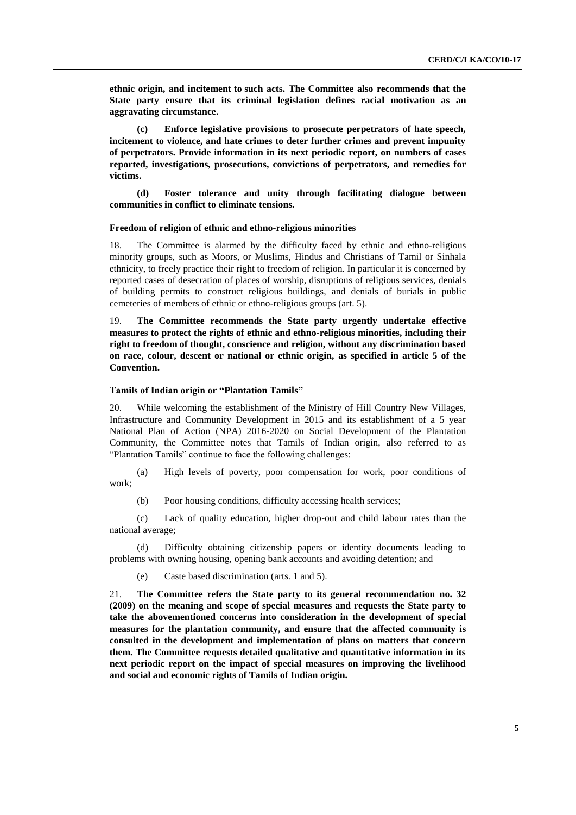**ethnic origin, and incitement to such acts. The Committee also recommends that the State party ensure that its criminal legislation defines racial motivation as an aggravating circumstance.**

**(c) Enforce legislative provisions to prosecute perpetrators of hate speech, incitement to violence, and hate crimes to deter further crimes and prevent impunity of perpetrators. Provide information in its next periodic report, on numbers of cases reported, investigations, prosecutions, convictions of perpetrators, and remedies for victims.** 

**(d) Foster tolerance and unity through facilitating dialogue between communities in conflict to eliminate tensions.**

#### **Freedom of religion of ethnic and ethno-religious minorities**

18. The Committee is alarmed by the difficulty faced by ethnic and ethno-religious minority groups, such as Moors, or Muslims, Hindus and Christians of Tamil or Sinhala ethnicity, to freely practice their right to freedom of religion. In particular it is concerned by reported cases of desecration of places of worship, disruptions of religious services, denials of building permits to construct religious buildings, and denials of burials in public cemeteries of members of ethnic or ethno-religious groups (art. 5).

19. **The Committee recommends the State party urgently undertake effective measures to protect the rights of ethnic and ethno-religious minorities, including their right to freedom of thought, conscience and religion, without any discrimination based on race, colour, descent or national or ethnic origin, as specified in article 5 of the Convention.** 

#### **Tamils of Indian origin or "Plantation Tamils"**

20. While welcoming the establishment of the Ministry of Hill Country New Villages, Infrastructure and Community Development in 2015 and its establishment of a 5 year National Plan of Action (NPA) 2016-2020 on Social Development of the Plantation Community, the Committee notes that Tamils of Indian origin, also referred to as "Plantation Tamils" continue to face the following challenges:

(a) High levels of poverty, poor compensation for work, poor conditions of work;

(b) Poor housing conditions, difficulty accessing health services;

(c) Lack of quality education, higher drop-out and child labour rates than the national average;

(d) Difficulty obtaining citizenship papers or identity documents leading to problems with owning housing, opening bank accounts and avoiding detention; and

(e) Caste based discrimination (arts. 1 and 5).

21. **The Committee refers the State party to its general recommendation no. 32 (2009) on the meaning and scope of special measures and requests the State party to take the abovementioned concerns into consideration in the development of special measures for the plantation community, and ensure that the affected community is consulted in the development and implementation of plans on matters that concern them. The Committee requests detailed qualitative and quantitative information in its next periodic report on the impact of special measures on improving the livelihood and social and economic rights of Tamils of Indian origin.**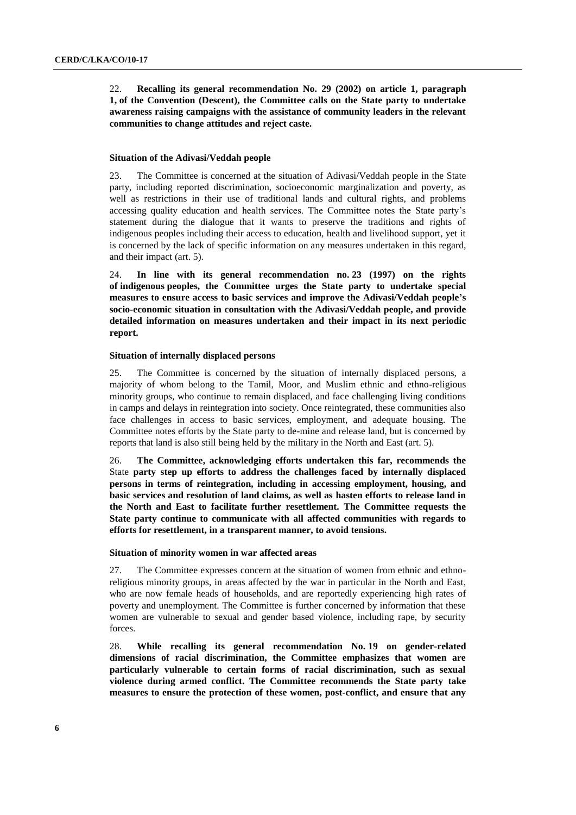22. **Recalling its general recommendation No. 29 (2002) on article 1, paragraph 1, of the Convention (Descent), the Committee calls on the State party to undertake awareness raising campaigns with the assistance of community leaders in the relevant communities to change attitudes and reject caste.** 

#### **Situation of the Adivasi/Veddah people**

23. The Committee is concerned at the situation of Adivasi/Veddah people in the State party, including reported discrimination, socioeconomic marginalization and poverty, as well as restrictions in their use of traditional lands and cultural rights, and problems accessing quality education and health services. The Committee notes the State party's statement during the dialogue that it wants to preserve the traditions and rights of indigenous peoples including their access to education, health and livelihood support, yet it is concerned by the lack of specific information on any measures undertaken in this regard, and their impact (art. 5).

24. **In line with its general recommendation no. 23 (1997) on the rights of indigenous peoples, the Committee urges the State party to undertake special measures to ensure access to basic services and improve the Adivasi/Veddah people's socio-economic situation in consultation with the Adivasi/Veddah people, and provide detailed information on measures undertaken and their impact in its next periodic report.** 

#### **Situation of internally displaced persons**

25. The Committee is concerned by the situation of internally displaced persons, a majority of whom belong to the Tamil, Moor, and Muslim ethnic and ethno-religious minority groups, who continue to remain displaced, and face challenging living conditions in camps and delays in reintegration into society. Once reintegrated, these communities also face challenges in access to basic services, employment, and adequate housing. The Committee notes efforts by the State party to de-mine and release land, but is concerned by reports that land is also still being held by the military in the North and East (art. 5).

26. **The Committee, acknowledging efforts undertaken this far, recommends the**  State **party step up efforts to address the challenges faced by internally displaced persons in terms of reintegration, including in accessing employment, housing, and basic services and resolution of land claims, as well as hasten efforts to release land in the North and East to facilitate further resettlement. The Committee requests the State party continue to communicate with all affected communities with regards to efforts for resettlement, in a transparent manner, to avoid tensions.** 

#### **Situation of minority women in war affected areas**

27. The Committee expresses concern at the situation of women from ethnic and ethnoreligious minority groups, in areas affected by the war in particular in the North and East, who are now female heads of households, and are reportedly experiencing high rates of poverty and unemployment. The Committee is further concerned by information that these women are vulnerable to sexual and gender based violence, including rape, by security forces.

28. **While recalling its general recommendation No. 19 on gender-related dimensions of racial discrimination, the Committee emphasizes that women are particularly vulnerable to certain forms of racial discrimination, such as sexual violence during armed conflict. The Committee recommends the State party take measures to ensure the protection of these women, post-conflict, and ensure that any**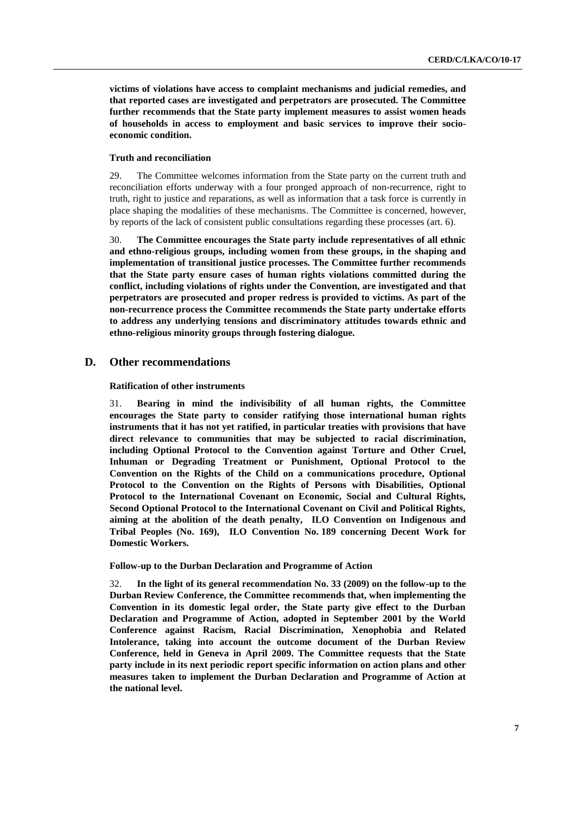**victims of violations have access to complaint mechanisms and judicial remedies, and that reported cases are investigated and perpetrators are prosecuted. The Committee further recommends that the State party implement measures to assist women heads of households in access to employment and basic services to improve their socioeconomic condition.** 

#### **Truth and reconciliation**

29. The Committee welcomes information from the State party on the current truth and reconciliation efforts underway with a four pronged approach of non-recurrence, right to truth, right to justice and reparations, as well as information that a task force is currently in place shaping the modalities of these mechanisms. The Committee is concerned, however, by reports of the lack of consistent public consultations regarding these processes (art. 6).

30. **The Committee encourages the State party include representatives of all ethnic and ethno-religious groups, including women from these groups, in the shaping and implementation of transitional justice processes. The Committee further recommends that the State party ensure cases of human rights violations committed during the conflict, including violations of rights under the Convention, are investigated and that perpetrators are prosecuted and proper redress is provided to victims. As part of the non-recurrence process the Committee recommends the State party undertake efforts to address any underlying tensions and discriminatory attitudes towards ethnic and ethno-religious minority groups through fostering dialogue.** 

## **D. Other recommendations**

#### **Ratification of other instruments**

31. **Bearing in mind the indivisibility of all human rights, the Committee encourages the State party to consider ratifying those international human rights instruments that it has not yet ratified, in particular treaties with provisions that have direct relevance to communities that may be subjected to racial discrimination, including Optional Protocol to the Convention against Torture and Other Cruel, Inhuman or Degrading Treatment or Punishment, Optional Protocol to the Convention on the Rights of the Child on a communications procedure, Optional Protocol to the Convention on the Rights of Persons with Disabilities, Optional Protocol to the International Covenant on Economic, Social and Cultural Rights, Second Optional Protocol to the International Covenant on Civil and Political Rights, aiming at the abolition of the death penalty, ILO Convention on Indigenous and Tribal Peoples (No. 169), ILO Convention No. 189 concerning Decent Work for Domestic Workers.**

**Follow-up to the Durban Declaration and Programme of Action**

32. **In the light of its general recommendation No. 33 (2009) on the follow-up to the Durban Review Conference, the Committee recommends that, when implementing the Convention in its domestic legal order, the State party give effect to the Durban Declaration and Programme of Action, adopted in September 2001 by the World Conference against Racism, Racial Discrimination, Xenophobia and Related Intolerance, taking into account the outcome document of the Durban Review Conference, held in Geneva in April 2009. The Committee requests that the State party include in its next periodic report specific information on action plans and other measures taken to implement the Durban Declaration and Programme of Action at the national level.**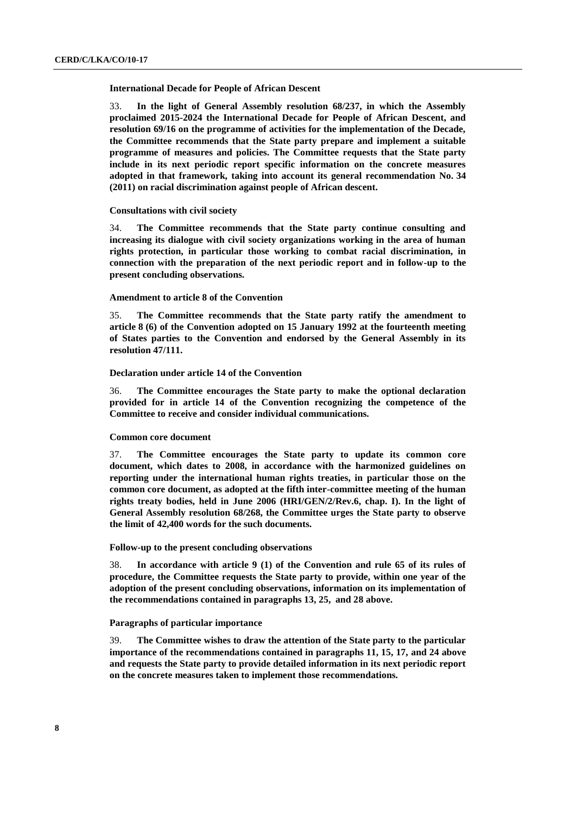#### **International Decade for People of African Descent**

33. **In the light of General Assembly resolution 68/237, in which the Assembly proclaimed 2015-2024 the International Decade for People of African Descent, and resolution 69/16 on the programme of activities for the implementation of the Decade, the Committee recommends that the State party prepare and implement a suitable programme of measures and policies. The Committee requests that the State party include in its next periodic report specific information on the concrete measures adopted in that framework, taking into account its general recommendation No. 34 (2011) on racial discrimination against people of African descent.** 

### **Consultations with civil society**

34. **The Committee recommends that the State party continue consulting and increasing its dialogue with civil society organizations working in the area of human rights protection, in particular those working to combat racial discrimination, in connection with the preparation of the next periodic report and in follow-up to the present concluding observations.**

#### **Amendment to article 8 of the Convention**

35. **The Committee recommends that the State party ratify the amendment to article 8 (6) of the Convention adopted on 15 January 1992 at the fourteenth meeting of States parties to the Convention and endorsed by the General Assembly in its resolution 47/111.** 

#### **Declaration under article 14 of the Convention**

36. **The Committee encourages the State party to make the optional declaration provided for in article 14 of the Convention recognizing the competence of the Committee to receive and consider individual communications.**

#### **Common core document**

37. **The Committee encourages the State party to update its common core document, which dates to 2008, in accordance with the harmonized guidelines on reporting under the international human rights treaties, in particular those on the common core document, as adopted at the fifth inter-committee meeting of the human rights treaty bodies, held in June 2006 (HRI/GEN/2/Rev.6, chap. I). In the light of General Assembly resolution 68/268, the Committee urges the State party to observe the limit of 42,400 words for the such documents.**

#### **Follow-up to the present concluding observations**

38. **In accordance with article 9 (1) of the Convention and rule 65 of its rules of procedure, the Committee requests the State party to provide, within one year of the adoption of the present concluding observations, information on its implementation of the recommendations contained in paragraphs 13, 25, and 28 above.** 

#### **Paragraphs of particular importance**

39. **The Committee wishes to draw the attention of the State party to the particular importance of the recommendations contained in paragraphs 11, 15, 17, and 24 above and requests the State party to provide detailed information in its next periodic report on the concrete measures taken to implement those recommendations.**